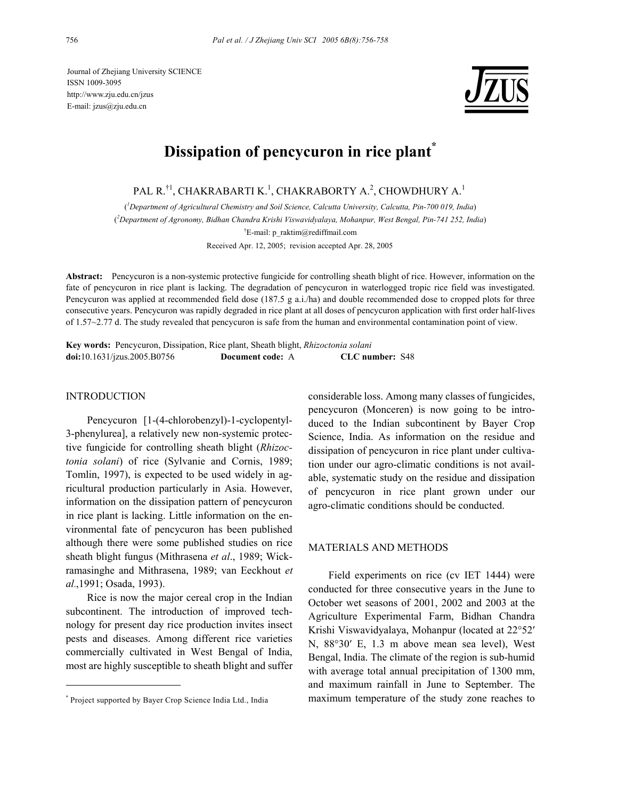Journal of Zhejiang University SCIENCE ISSN 1009-3095 http://www.zju.edu.cn/jzus E-mail: jzus@zju.edu.cn



# **Dissipation of pencycuron in rice plant\***

PAL R.  $^{\dagger1}$ , CHAKRABARTI K.  $^1$ , CHAKRABORTY A.  $^2$ , CHOWDHURY A.  $^1$ 

( *1 Department of Agricultural Chemistry and Soil Science, Calcutta University, Calcutta, Pin-700 019, India*) ( *2 Department of Agronomy, Bidhan Chandra Krishi Viswavidyalaya, Mohanpur, West Bengal, Pin-741 252, India*) † E-mail: p\_raktim@rediffmail.com Received Apr. 12, 2005; revision accepted Apr. 28, 2005

**Abstract:** Pencycuron is a non-systemic protective fungicide for controlling sheath blight of rice. However, information on the fate of pencycuron in rice plant is lacking. The degradation of pencycuron in waterlogged tropic rice field was investigated. Pencycuron was applied at recommended field dose (187.5 g a.i./ha) and double recommended dose to cropped plots for three consecutive years. Pencycuron was rapidly degraded in rice plant at all doses of pencycuron application with first order half-lives of 1.57~2.77 d. The study revealed that pencycuron is safe from the human and environmental contamination point of view.

**Key words:** Pencycuron, Dissipation, Rice plant, Sheath blight, *Rhizoctonia solani* **doi:**10.1631/jzus.2005.B0756 **Document code:** A **CLC number:** S48

#### INTRODUCTION

Pencycuron [1-(4-chlorobenzyl)-1-cyclopentyl-3-phenylurea], a relatively new non-systemic protective fungicide for controlling sheath blight (*Rhizoctonia solani*) of rice (Sylvanie and Cornis, 1989; Tomlin, 1997), is expected to be used widely in agricultural production particularly in Asia. However, information on the dissipation pattern of pencycuron in rice plant is lacking. Little information on the environmental fate of pencycuron has been published although there were some published studies on rice sheath blight fungus (Mithrasena *et al*., 1989; Wickramasinghe and Mithrasena, 1989; van Eeckhout *et al.*,1991; Osada, 1993).

Rice is now the major cereal crop in the Indian subcontinent. The introduction of improved technology for present day rice production invites insect pests and diseases. Among different rice varieties commercially cultivated in West Bengal of India, most are highly susceptible to sheath blight and suffer

considerable loss. Among many classes of fungicides, pencycuron (Monceren) is now going to be introduced to the Indian subcontinent by Bayer Crop Science, India. As information on the residue and dissipation of pencycuron in rice plant under cultivation under our agro-climatic conditions is not available, systematic study on the residue and dissipation of pencycuron in rice plant grown under our agro-climatic conditions should be conducted.

#### MATERIALS AND METHODS

Field experiments on rice (cv IET 1444) were conducted for three consecutive years in the June to October wet seasons of 2001, 2002 and 2003 at the Agriculture Experimental Farm, Bidhan Chandra Krishi Viswavidyalaya, Mohanpur (located at 22°52′ N, 88°30′ E, 1.3 m above mean sea level), West Bengal, India. The climate of the region is sub-humid with average total annual precipitation of 1300 mm, and maximum rainfall in June to September. The maximum temperature of the study zone reaches to

<sup>\*</sup> Project supported by Bayer Crop Science India Ltd., India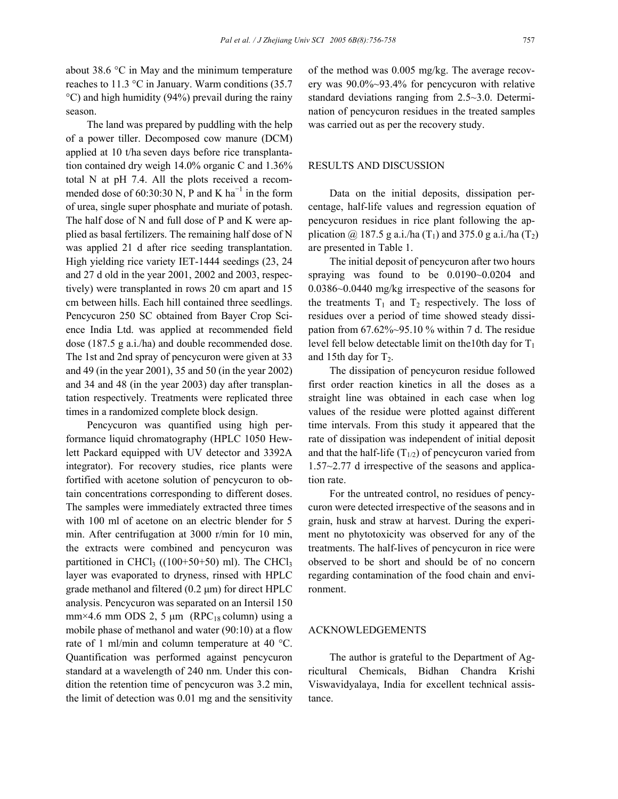about 38.6 °C in May and the minimum temperature reaches to 11.3 °C in January. Warm conditions (35.7 °C) and high humidity (94%) prevail during the rainy season.

The land was prepared by puddling with the help of a power tiller. Decomposed cow manure (DCM) applied at 10 t/ha seven days before rice transplantation contained dry weigh 14.0% organic C and 1.36% total N at pH 7.4. All the plots received a recommended dose of 60:30:30 N, P and K ha<sup>-1</sup> in the form of urea, single super phosphate and muriate of potash. The half dose of N and full dose of P and K were applied as basal fertilizers. The remaining half dose of N was applied 21 d after rice seeding transplantation. High yielding rice variety IET-1444 seedings (23, 24 and 27 d old in the year 2001, 2002 and 2003, respectively) were transplanted in rows 20 cm apart and 15 cm between hills. Each hill contained three seedlings. Pencycuron 250 SC obtained from Bayer Crop Science India Ltd. was applied at recommended field dose (187.5 g a.i./ha) and double recommended dose. The 1st and 2nd spray of pencycuron were given at 33 and 49 (in the year 2001), 35 and 50 (in the year 2002) and 34 and 48 (in the year 2003) day after transplantation respectively. Treatments were replicated three times in a randomized complete block design.

Pencycuron was quantified using high performance liquid chromatography (HPLC 1050 Hewlett Packard equipped with UV detector and 3392A integrator). For recovery studies, rice plants were fortified with acetone solution of pencycuron to obtain concentrations corresponding to different doses. The samples were immediately extracted three times with 100 ml of acetone on an electric blender for 5 min. After centrifugation at 3000 r/min for 10 min, the extracts were combined and pencycuron was partitioned in CHCl<sub>3</sub>  $((100+50+50)$  ml). The CHCl<sub>3</sub> layer was evaporated to dryness, rinsed with HPLC grade methanol and filtered  $(0.2 \mu m)$  for direct HPLC analysis. Pencycuron was separated on an Intersil 150 mm×4.6 mm ODS 2, 5  $\mu$ m (RPC<sub>18</sub> column) using a mobile phase of methanol and water (90:10) at a flow rate of 1 ml/min and column temperature at 40 °C. Quantification was performed against pencycuron standard at a wavelength of 240 nm. Under this condition the retention time of pencycuron was 3.2 min, the limit of detection was 0.01 mg and the sensitivity

of the method was 0.005 mg/kg. The average recovery was 90.0%~93.4% for pencycuron with relative standard deviations ranging from 2.5~3.0. Determination of pencycuron residues in the treated samples was carried out as per the recovery study.

## RESULTS AND DISCUSSION

Data on the initial deposits, dissipation percentage, half-life values and regression equation of pencycuron residues in rice plant following the application @ 187.5 g a.i./ha  $(T_1)$  and 375.0 g a.i./ha  $(T_2)$ are presented in Table 1.

The initial deposit of pencycuron after two hours spraying was found to be 0.0190~0.0204 and 0.0386~0.0440 mg/kg irrespective of the seasons for the treatments  $T_1$  and  $T_2$  respectively. The loss of residues over a period of time showed steady dissipation from  $67.62\% \sim 95.10\%$  within 7 d. The residue level fell below detectable limit on the 10th day for  $T_1$ and 15th day for  $T_2$ .

The dissipation of pencycuron residue followed first order reaction kinetics in all the doses as a straight line was obtained in each case when log values of the residue were plotted against different time intervals. From this study it appeared that the rate of dissipation was independent of initial deposit and that the half-life  $(T_{1/2})$  of pencycuron varied from 1.57~2.77 d irrespective of the seasons and application rate.

For the untreated control, no residues of pencycuron were detected irrespective of the seasons and in grain, husk and straw at harvest. During the experiment no phytotoxicity was observed for any of the treatments. The half-lives of pencycuron in rice were observed to be short and should be of no concern regarding contamination of the food chain and environment.

## ACKNOWLEDGEMENTS

The author is grateful to the Department of Agricultural Chemicals, Bidhan Chandra Krishi Viswavidyalaya, India for excellent technical assistance.